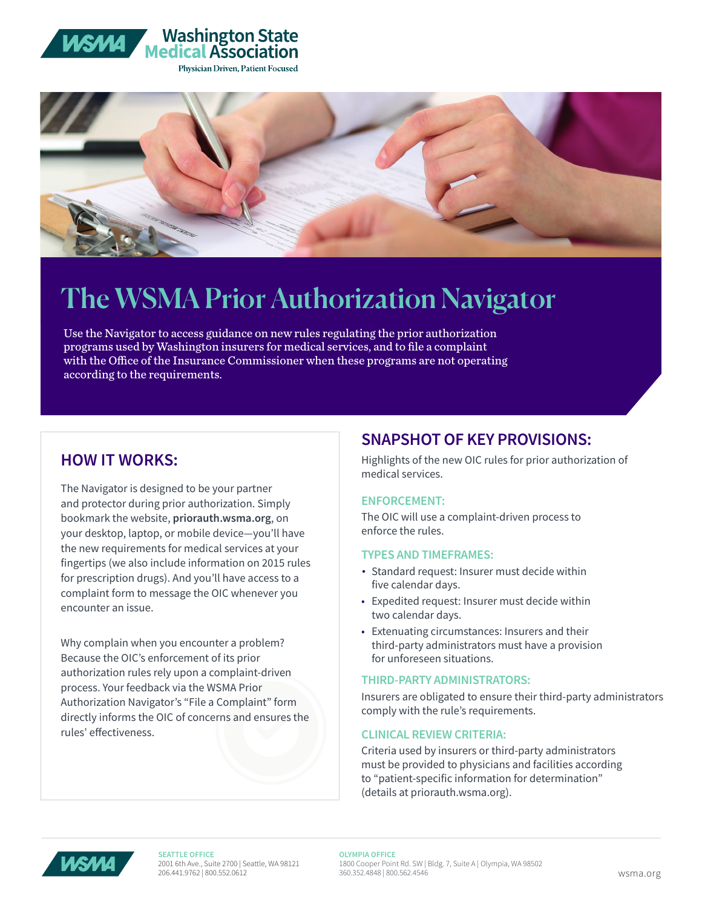



# The WSMA Prior Authorization Navigator

Use the Navigator to access guidance on new rules regulating the prior authorization programs used by Washington insurers for medical services, and to file a complaint with the Office of the Insurance Commissioner when these programs are not operating according to the requirements.

# **HOW IT WORKS:**

The Navigator is designed to be your partner and protector during prior authorization. Simply bookmark the website, **priorauth.wsma.org**, on your desktop, laptop, or mobile device—you'll have the new requirements for medical services at your fingertips (we also include information on 2015 rules for prescription drugs). And you'll have access to a complaint form to message the OIC whenever you encounter an issue.

Why complain when you encounter a problem? Because the OIC's enforcement of its prior authorization rules rely upon a complaint-driven process. Your feedback via the WSMA Prior Authorization Navigator's "File a Complaint" form directly informs the OIC of concerns and ensures the rules' effectiveness.

# **SNAPSHOT OF KEY PROVISIONS:**

Highlights of the new OIC rules for prior authorization of medical services.

### **ENFORCEMENT:**

The OIC will use a complaint-driven process to enforce the rules.

### **TYPES AND TIMEFRAMES:**

- Standard request: Insurer must decide within five calendar days.
- Expedited request: Insurer must decide within two calendar days.
- Extenuating circumstances: Insurers and their third-party administrators must have a provision for unforeseen situations.

### **THIRD-PARTY ADMINISTRATORS:**

Insurers are obligated to ensure their third-party administrators comply with the rule's requirements.

### **CLINICAL REVIEW CRITERIA:**

Criteria used by insurers or third-party administrators must be provided to physicians and facilities according to "patient-specific information for determination" (details at priorauth.wsma.org).



**SEATTLE OFFICE** 2001 6th Ave., Suite 2700 | Seattle, WA 98121 206.441.9762 | 800.552.0612